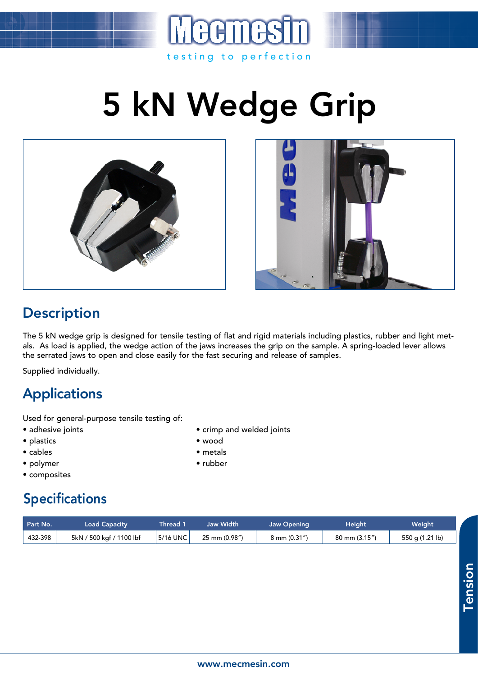## 5 kN Wedge Grip

testing to perfection





## **Description**

The 5 kN wedge grip is designed for tensile testing of flat and rigid materials including plastics, rubber and light metals. As load is applied, the wedge action of the jaws increases the grip on the sample. A spring-loaded lever allows the serrated jaws to open and close easily for the fast securing and release of samples.

Supplied individually.

## Applications

Used for general-purpose tensile testing of:

- adhesive joints crimp and welded joints
- plastics wood
- cables metals
- polymer rubber
- composites

## Specifications

| Part No. | Load Capacity            | Thread 1 | Jaw Width     | <b>Jaw Opening</b> | Height                   | Weight          |
|----------|--------------------------|----------|---------------|--------------------|--------------------------|-----------------|
| 432-398  | 5kN / 500 kgf / 1100 lbf | 5/16 UNC | 25 mm (0.98") | 8 mm (0.31")       | $80 \text{ mm} (3.15'')$ | 550 g (1.21 lb) |

Tension